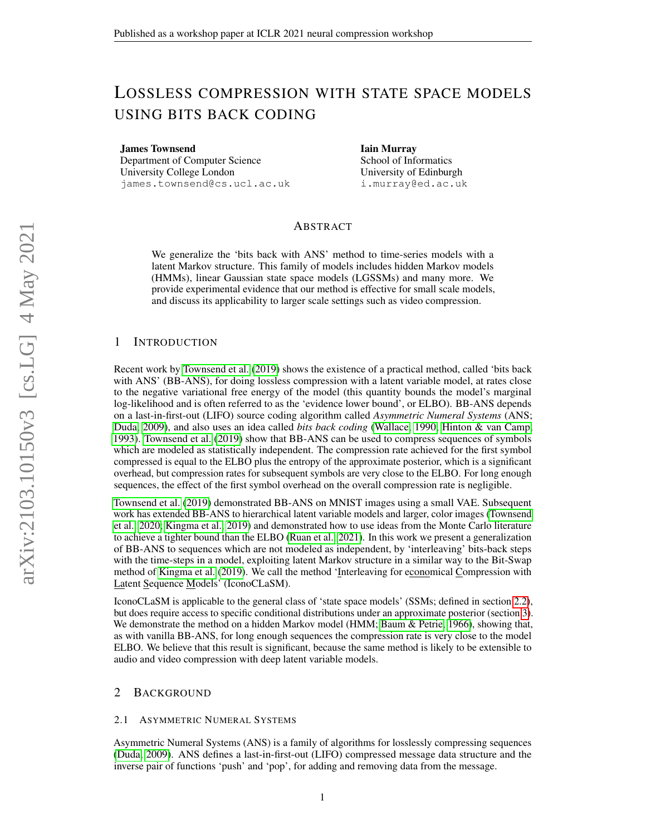# LOSSLESS COMPRESSION WITH STATE SPACE MODELS USING BITS BACK CODING

James Townsend Department of Computer Science University College London james.townsend@cs.ucl.ac.uk Iain Murray School of Informatics University of Edinburgh i.murray@ed.ac.uk

# ABSTRACT

We generalize the 'bits back with ANS' method to time-series models with a latent Markov structure. This family of models includes hidden Markov models (HMMs), linear Gaussian state space models (LGSSMs) and many more. We provide experimental evidence that our method is effective for small scale models, and discuss its applicability to larger scale settings such as video compression.

## 1 INTRODUCTION

Recent work by [Townsend et al.](#page-4-0) [\(2019\)](#page-4-0) shows the existence of a practical method, called 'bits back with ANS' (BB-ANS), for doing lossless compression with a latent variable model, at rates close to the negative variational free energy of the model (this quantity bounds the model's marginal log-likelihood and is often referred to as the 'evidence lower bound', or ELBO). BB-ANS depends on a last-in-first-out (LIFO) source coding algorithm called *Asymmetric Numeral Systems* (ANS; [Duda, 2009\)](#page-4-1), and also uses an idea called *bits back coding* [\(Wallace, 1990;](#page-4-2) [Hinton & van Camp,](#page-4-3) [1993\)](#page-4-3). [Townsend et al.](#page-4-0) [\(2019\)](#page-4-0) show that BB-ANS can be used to compress sequences of symbols which are modeled as statistically independent. The compression rate achieved for the first symbol compressed is equal to the ELBO plus the entropy of the approximate posterior, which is a significant overhead, but compression rates for subsequent symbols are very close to the ELBO. For long enough sequences, the effect of the first symbol overhead on the overall compression rate is negligible.

[Townsend et al.](#page-4-0) [\(2019\)](#page-4-0) demonstrated BB-ANS on MNIST images using a small VAE. Subsequent work has extended BB-ANS to hierarchical latent variable models and larger, color images [\(Townsend](#page-4-4) [et al., 2020;](#page-4-4) [Kingma et al., 2019\)](#page-4-5) and demonstrated how to use ideas from the Monte Carlo literature to achieve a tighter bound than the ELBO [\(Ruan et al., 2021\)](#page-4-6). In this work we present a generalization of BB-ANS to sequences which are not modeled as independent, by 'interleaving' bits-back steps with the time-steps in a model, exploiting latent Markov structure in a similar way to the Bit-Swap method of [Kingma et al.](#page-4-5) [\(2019\)](#page-4-5). We call the method 'Interleaving for economical Compression with Latent Sequence Models' (IconoCLaSM).

IconoCLaSM is applicable to the general class of 'state space models' (SSMs; defined in section [2.2\)](#page-1-0), but does require access to specific conditional distributions under an approximate posterior (section [3\)](#page-2-0). We demonstrate the method on a hidden Markov model (HMM; [Baum & Petrie, 1966\)](#page-4-7), showing that, as with vanilla BB-ANS, for long enough sequences the compression rate is very close to the model ELBO. We believe that this result is significant, because the same method is likely to be extensible to audio and video compression with deep latent variable models.

### 2 BACKGROUND

#### <span id="page-0-0"></span>2.1 ASYMMETRIC NUMERAL SYSTEMS

Asymmetric Numeral Systems (ANS) is a family of algorithms for losslessly compressing sequences [\(Duda, 2009\)](#page-4-1). ANS defines a last-in-first-out (LIFO) compressed message data structure and the inverse pair of functions 'push' and 'pop', for adding and removing data from the message.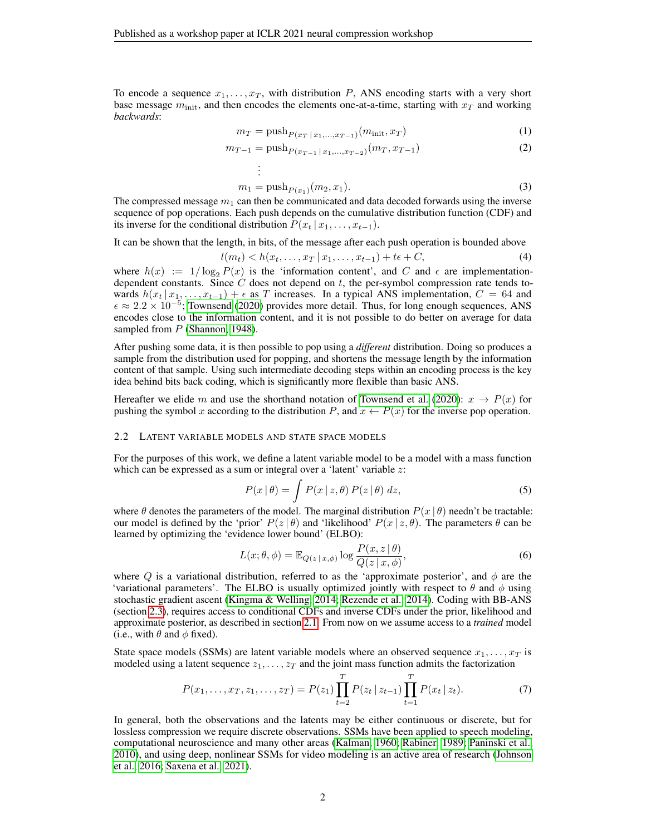To encode a sequence  $x_1, \ldots, x_T$ , with distribution P, ANS encoding starts with a very short base message  $m_{\text{init}}$ , and then encodes the elements one-at-a-time, starting with  $x_T$  and working *backwards*:

$$
m_T = \text{push}_{P(x_T | x_1, \dots, x_{T-1})}(m_{\text{init}}, x_T)
$$
\n
$$
(1)
$$

$$
m_{T-1} = \text{push}_{P(x_{T-1} \mid x_1, \dots, x_{T-2})}(m_T, x_{T-1})
$$
\n<sup>(2)</sup>

$$
\vdots
$$
  

$$
m_1 = \text{push}_{P(x_1)}(m_2, x_1).
$$
 (3)

The compressed message  $m_1$  can then be communicated and data decoded forwards using the inverse sequence of pop operations. Each push depends on the cumulative distribution function (CDF) and its inverse for the conditional distribution  $P(x_t | x_1, \ldots, x_{t-1})$ .

It can be shown that the length, in bits, of the message after each push operation is bounded above

$$
l(m_t) < h(x_t, \dots, x_T \, | \, x_1, \dots, x_{t-1}) + t\epsilon + C,\tag{4}
$$

where  $h(x) := 1/\log_2 P(x)$  is the 'information content', and C and  $\epsilon$  are implementationdependent constants. Since  $C$  does not depend on  $t$ , the per-symbol compression rate tends towards  $h(x_t | x_1, \ldots, x_{t-1}) + \epsilon$  as T increases. In a typical ANS implementation,  $C = 64$  and  $\epsilon \approx 2.2 \times 10^{-5}$ ; [Townsend](#page-4-8) [\(2020\)](#page-4-8) provides more detail. Thus, for long enough sequences, ANS encodes close to the information content, and it is not possible to do better on average for data sampled from  $P$  [\(Shannon, 1948\)](#page-4-9).

After pushing some data, it is then possible to pop using a *different* distribution. Doing so produces a sample from the distribution used for popping, and shortens the message length by the information content of that sample. Using such intermediate decoding steps within an encoding process is the key idea behind bits back coding, which is significantly more flexible than basic ANS.

Hereafter we elide m and use the shorthand notation of [Townsend et al.](#page-4-4) [\(2020\)](#page-4-4):  $x \to P(x)$  for pushing the symbol x according to the distribution P, and  $x \leftarrow P(x)$  for the inverse pop operation.

#### <span id="page-1-0"></span>2.2 LATENT VARIABLE MODELS AND STATE SPACE MODELS

For the purposes of this work, we define a latent variable model to be a model with a mass function which can be expressed as a sum or integral over a 'latent' variable  $z$ :

$$
P(x | \theta) = \int P(x | z, \theta) P(z | \theta) dz,
$$
\n(5)

where  $\theta$  denotes the parameters of the model. The marginal distribution  $P(x | \theta)$  needn't be tractable: our model is defined by the 'prior'  $P(z | \theta)$  and 'likelihood'  $P(x | z, \theta)$ . The parameters  $\theta$  can be learned by optimizing the 'evidence lower bound' (ELBO):

$$
L(x; \theta, \phi) = \mathbb{E}_{Q(z \mid x, \phi)} \log \frac{P(x, z \mid \theta)}{Q(z \mid x, \phi)},
$$
\n(6)

where Q is a variational distribution, referred to as the 'approximate posterior', and  $\phi$  are the 'variational parameters'. The ELBO is usually optimized jointly with respect to  $\theta$  and  $\phi$  using stochastic gradient ascent [\(Kingma & Welling, 2014;](#page-4-10) [Rezende et al., 2014\)](#page-4-11). Coding with BB-ANS (section [2.3\)](#page-2-1), requires access to conditional CDFs and inverse CDFs under the prior, likelihood and approximate posterior, as described in section [2.1.](#page-0-0) From now on we assume access to a *trained* model (i.e., with  $\theta$  and  $\phi$  fixed).

State space models (SSMs) are latent variable models where an observed sequence  $x_1, \ldots, x_T$  is modeled using a latent sequence  $z_1, \ldots, z_T$  and the joint mass function admits the factorization

$$
P(x_1, \ldots, x_T, z_1, \ldots, z_T) = P(z_1) \prod_{t=2}^T P(z_t \, | \, z_{t-1}) \prod_{t=1}^T P(x_t \, | \, z_t). \tag{7}
$$

In general, both the observations and the latents may be either continuous or discrete, but for lossless compression we require discrete observations. SSMs have been applied to speech modeling, computational neuroscience and many other areas [\(Kalman, 1960;](#page-4-12) [Rabiner, 1989;](#page-4-13) [Paninski et al.,](#page-4-14) [2010\)](#page-4-14), and using deep, nonlinear SSMs for video modeling is an active area of research [\(Johnson](#page-4-15) [et al., 2016;](#page-4-15) [Saxena et al., 2021\)](#page-4-16).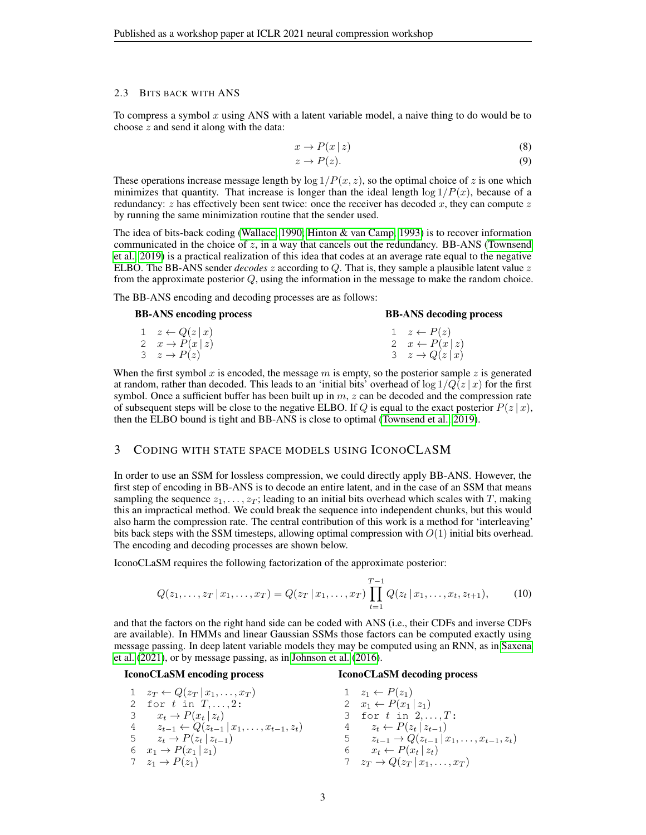#### <span id="page-2-1"></span>2.3 BITS BACK WITH ANS

To compress a symbol  $x$  using ANS with a latent variable model, a naive thing to do would be to choose z and send it along with the data:

$$
x \to P(x \mid z) \tag{8}
$$

$$
z \to P(z). \tag{9}
$$

These operations increase message length by  $\log 1/P(x, z)$ , so the optimal choice of z is one which minimizes that quantity. That increase is longer than the ideal length  $\log 1/P(x)$ , because of a redundancy:  $z$  has effectively been sent twice: once the receiver has decoded  $x$ , they can compute  $z$ by running the same minimization routine that the sender used.

The idea of bits-back coding [\(Wallace, 1990;](#page-4-2) [Hinton & van Camp, 1993\)](#page-4-3) is to recover information communicated in the choice of  $z$ , in a way that cancels out the redundancy. BB-ANS [\(Townsend](#page-4-0) [et al., 2019\)](#page-4-0) is a practical realization of this idea that codes at an average rate equal to the negative ELBO. The BB-ANS sender *decodes* z according to Q. That is, they sample a plausible latent value z from the approximate posterior Q, using the information in the message to make the random choice.

The BB-ANS encoding and decoding processes are as follows:

| <b>BB-ANS encoding process</b>     | <b>BB-ANS</b> decoding process |
|------------------------------------|--------------------------------|
| $1 \quad z \leftarrow Q(z \mid x)$ | $1 \quad z \leftarrow P(z)$    |
| 2 $x \rightarrow P(x z)$           | 2 $x \leftarrow P(x z)$        |
| $3 \t z \rightarrow P(z)$          | $3 \quad z \rightarrow Q(z x)$ |

When the first symbol x is encoded, the message m is empty, so the posterior sample z is generated at random, rather than decoded. This leads to an 'initial bits' overhead of  $\log 1/Q(z | x)$  for the first symbol. Once a sufficient buffer has been built up in  $m$ ,  $z$  can be decoded and the compression rate of subsequent steps will be close to the negative ELBO. If Q is equal to the exact posterior  $P(z | x)$ , then the ELBO bound is tight and BB-ANS is close to optimal [\(Townsend et al., 2019\)](#page-4-0).

## <span id="page-2-0"></span>3 CODING WITH STATE SPACE MODELS USING ICONOCLASM

In order to use an SSM for lossless compression, we could directly apply BB-ANS. However, the first step of encoding in BB-ANS is to decode an entire latent, and in the case of an SSM that means sampling the sequence  $z_1, \ldots, z_T$ ; leading to an initial bits overhead which scales with T, making this an impractical method. We could break the sequence into independent chunks, but this would also harm the compression rate. The central contribution of this work is a method for 'interleaving' bits back steps with the SSM timesteps, allowing optimal compression with  $O(1)$  initial bits overhead. The encoding and decoding processes are shown below.

IconoCLaSM requires the following factorization of the approximate posterior:

$$
Q(z_1, \ldots, z_T | x_1, \ldots, x_T) = Q(z_T | x_1, \ldots, x_T) \prod_{t=1}^{T-1} Q(z_t | x_1, \ldots, x_t, z_{t+1}),
$$
 (10)

and that the factors on the right hand side can be coded with ANS (i.e., their CDFs and inverse CDFs are available). In HMMs and linear Gaussian SSMs those factors can be computed exactly using message passing. In deep latent variable models they may be computed using an RNN, as in [Saxena](#page-4-16) [et al.](#page-4-16) [\(2021\)](#page-4-16), or by message passing, as in [Johnson et al.](#page-4-15) [\(2016\)](#page-4-15).

#### IconoCLaSM encoding process

## 1  $z_T \leftarrow Q(z_T | x_1, \ldots, x_T)$ 2 for  $t$  in  $T, \ldots, 2$ : 3  $x_t \rightarrow P(x_t | z_t)$ 4  $z_{t-1}$  ←  $Q(z_{t-1} | x_1, \ldots, x_{t-1}, z_t)$ 5  $z_t \to P(z_t | z_{t-1})$ 6  $x_1 \to P(x_1 | z_1)$  $7 \quad z_1 \rightarrow P(z_1)$

#### IconoCLaSM decoding process

 $z_1 \leftarrow P(z_1)$  $x_1 \leftarrow P(x_1 | z_1)$ 3 for  $t$  in  $2, ..., T$ :  $z_t \leftarrow P(z_t | z_{t-1})$  $z_{t-1} \rightarrow Q(z_{t-1} | x_1, \ldots, x_{t-1}, z_t)$  $x_t \leftarrow P(x_t | z_t)$  $z_T \to Q(z_T | x_1, \ldots, x_T)$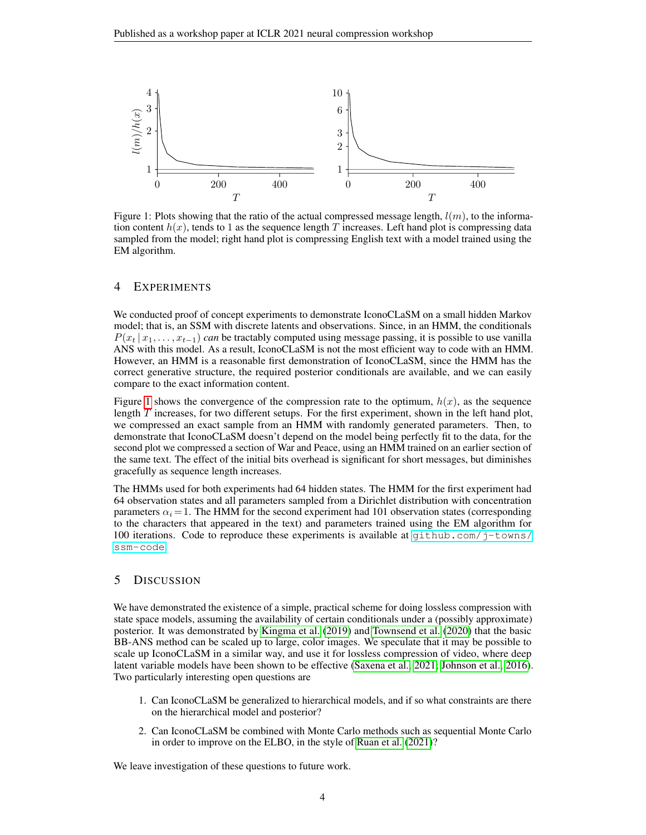

<span id="page-3-0"></span>Figure 1: Plots showing that the ratio of the actual compressed message length,  $l(m)$ , to the information content  $h(x)$ , tends to 1 as the sequence length T increases. Left hand plot is compressing data sampled from the model; right hand plot is compressing English text with a model trained using the EM algorithm.

## 4 EXPERIMENTS

We conducted proof of concept experiments to demonstrate IconoCLaSM on a small hidden Markov model; that is, an SSM with discrete latents and observations. Since, in an HMM, the conditionals  $P(x_t | x_1, \ldots, x_{t-1})$  *can* be tractably computed using message passing, it is possible to use vanilla ANS with this model. As a result, IconoCLaSM is not the most efficient way to code with an HMM. However, an HMM is a reasonable first demonstration of IconoCLaSM, since the HMM has the correct generative structure, the required posterior conditionals are available, and we can easily compare to the exact information content.

Figure [1](#page-3-0) shows the convergence of the compression rate to the optimum,  $h(x)$ , as the sequence length  $T$  increases, for two different setups. For the first experiment, shown in the left hand plot, we compressed an exact sample from an HMM with randomly generated parameters. Then, to demonstrate that IconoCLaSM doesn't depend on the model being perfectly fit to the data, for the second plot we compressed a section of War and Peace, using an HMM trained on an earlier section of the same text. The effect of the initial bits overhead is significant for short messages, but diminishes gracefully as sequence length increases.

The HMMs used for both experiments had 64 hidden states. The HMM for the first experiment had 64 observation states and all parameters sampled from a Dirichlet distribution with concentration parameters  $\alpha_i = 1$ . The HMM for the second experiment had 101 observation states (corresponding to the characters that appeared in the text) and parameters trained using the EM algorithm for 100 iterations. Code to reproduce these experiments is available at  $q$ ithub.com/j-towns/ [ssm-code](https://github.com/j-towns/ssm-code).

## 5 DISCUSSION

We have demonstrated the existence of a simple, practical scheme for doing lossless compression with state space models, assuming the availability of certain conditionals under a (possibly approximate) posterior. It was demonstrated by [Kingma et al.](#page-4-5) [\(2019\)](#page-4-5) and [Townsend et al.](#page-4-4) [\(2020\)](#page-4-4) that the basic BB-ANS method can be scaled up to large, color images. We speculate that it may be possible to scale up IconoCLaSM in a similar way, and use it for lossless compression of video, where deep latent variable models have been shown to be effective [\(Saxena et al., 2021;](#page-4-16) [Johnson et al., 2016\)](#page-4-15). Two particularly interesting open questions are

- 1. Can IconoCLaSM be generalized to hierarchical models, and if so what constraints are there on the hierarchical model and posterior?
- 2. Can IconoCLaSM be combined with Monte Carlo methods such as sequential Monte Carlo in order to improve on the ELBO, in the style of [Ruan et al.](#page-4-6) [\(2021\)](#page-4-6)?

We leave investigation of these questions to future work.